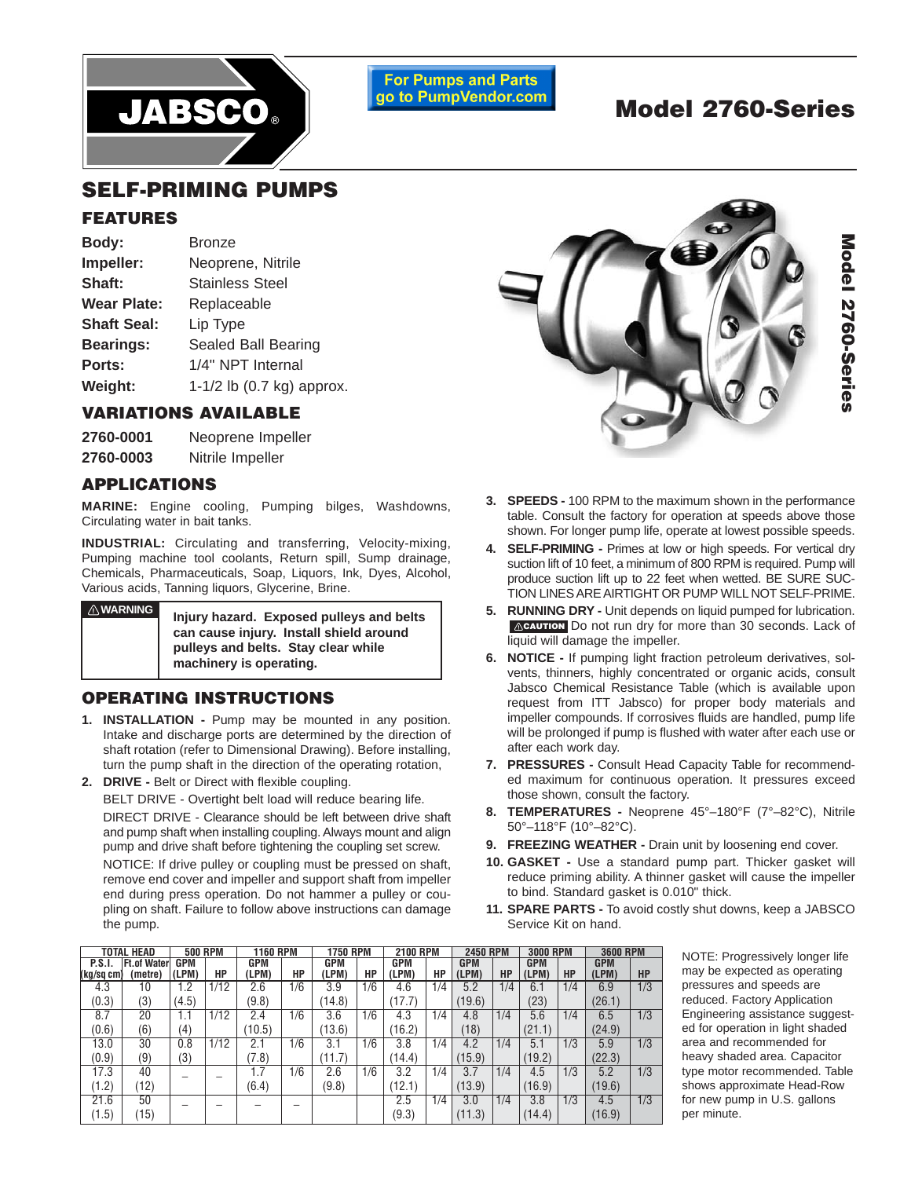

**For Pumps and Parts** go to PumpVendor.com

# **Model 2760-Series**

## **SELF-PRIMING PUMPS**

#### **FEATURES**

| Body:              | <b>Bronze</b>             |  |  |
|--------------------|---------------------------|--|--|
| Impeller:          | Neoprene, Nitrile         |  |  |
| Shaft:             | <b>Stainless Steel</b>    |  |  |
| <b>Wear Plate:</b> | Replaceable               |  |  |
| <b>Shaft Seal:</b> | Lip Type                  |  |  |
| <b>Bearings:</b>   | Sealed Ball Bearing       |  |  |
| Ports:             | 1/4" NPT Internal         |  |  |
| Weight:            | 1-1/2 lb (0.7 kg) approx. |  |  |

#### **VARIATIONS AVAILABLE**

| 2760-0001 | Neoprene Impeller |  |  |
|-----------|-------------------|--|--|
| 2760-0003 | Nitrile Impeller  |  |  |

#### **APPLICATIONS**

**MARINE:** Engine cooling, Pumping bilges, Washdowns, Circulating water in bait tanks.

**INDUSTRIAL:** Circulating and transferring, Velocity-mixing, Pumping machine tool coolants, Return spill, Sump drainage, Chemicals, Pharmaceuticals, Soap, Liquors, Ink, Dyes, Alcohol, Various acids, Tanning liquors, Glycerine, Brine.

**! WARNING**

**Injury hazard. Exposed pulleys and belts can cause injury. Install shield around pulleys and belts. Stay clear while machinery is operating.**

#### **OPERATING INSTRUCTIONS**

- **1. INSTALLATION** Pump may be mounted in any position. Intake and discharge ports are determined by the direction of shaft rotation (refer to Dimensional Drawing). Before installing, turn the pump shaft in the direction of the operating rotation,
- **2. DRIVE** Belt or Direct with flexible coupling.

BELT DRIVE - Overtight belt load will reduce bearing life. DIRECT DRIVE - Clearance should be left between drive shaft and pump shaft when installing coupling. Always mount and align pump and drive shaft before tightening the coupling set screw. NOTICE: If drive pulley or coupling must be pressed on shaft, remove end cover and impeller and support shaft from impeller end during press operation. Do not hammer a pulley or coupling on shaft. Failure to follow above instructions can damage the pump.



- **3. SPEEDS** 100 RPM to the maximum shown in the performance table. Consult the factory for operation at speeds above those shown. For longer pump life, operate at lowest possible speeds.
- **4. SELF-PRIMING** Primes at low or high speeds. For vertical dry suction lift of 10 feet, a minimum of 800 RPM is required. Pump will produce suction lift up to 22 feet when wetted. BE SURE SUC-TION LINES ARE AIRTIGHT OR PUMP WILL NOT SELF-PRIME.
- **5. RUNNING DRY Unit depends on liquid pumped for lubrication. CAUTION** Do not run dry for more than 30 seconds. Lack of liquid will damage the impeller.
- **6. NOTICE** If pumping light fraction petroleum derivatives, solvents, thinners, highly concentrated or organic acids, consult Jabsco Chemical Resistance Table (which is available upon request from ITT Jabsco) for proper body materials and impeller compounds. If corrosives fluids are handled, pump life will be prolonged if pump is flushed with water after each use or after each work day.
- **7. PRESSURES** Consult Head Capacity Table for recommended maximum for continuous operation. It pressures exceed those shown, consult the factory.
- **8. TEMPERATURES** Neoprene 45°–180°F (7°–82°C), Nitrile 50°–118°F (10°–82°C).
- **9. FREEZING WEATHER** Drain unit by loosening end cover.
- **10. GASKET** Use a standard pump part. Thicker gasket will reduce priming ability. A thinner gasket will cause the impeller to bind. Standard gasket is 0.010" thick.
- **11. SPARE PARTS** To avoid costly shut downs, keep a JABSCO Service Kit on hand.

4.3 10 1.2 1/12 2.6 1/6 3.9 1/6 4.6 1/4 5.2 1/4 6.1 1/4 6.9 1/3  $(0.3)$   $(3)$   $(4.5)$  (9.8) (14.8) (17.7) (19.6) (23) (26.1) 8.7 | 20 | 1.1 | 1/12 | 2.4 | 1/6 | 3.6 | 1/6 | 4.3 | 1/4 | 4.8 | 1/4 | 5.6 | 1/4 | 6.5 | 1/3  $(0.6)$   $(6)$   $(4)$   $(10.5)$   $(13.6)$   $(16.2)$   $(18)$   $(21.1)$   $(21.9)$ 13.0 30 0.8 1/12 2.1 1/6 3.1 1/6 3.8 1/4 4.2 1/4 5.1 1/3 5.9 1/3  $(0.9)$   $(9)$   $(3)$  (13) (17.8) (11.7) (14.4) (15.9) (15.9) (19.2) (22.3) 17.3 | 40 | \_ | \_ | 1.7 | 1/6 | 2.6 | 1/6 | 3.2 | 1/4 | 3.7 | 1/4 | 4.5 | 1/3 | 5.2 | 1/3  $(1.2)$   $(12)$   $(12)$   $(12)$   $(6.4)$   $(9.8)$   $(12.1)$   $(13.9)$   $(16.9)$   $(16.9)$   $(19.6)$ 21.6 | 50 | \_ | \_ | \_ | \_ | \_ | | 2.5 | 1/4 | 3.0 | 1/4 | 3.8 | 1/3 | 4.5 | 1/3  $(1.5)$   $(15)$   $(15)$   $(16.9)$ **TOTAL HEAD 500 RPM 1160 RPM 1750 RPM 2100 RPM 2450 RPM 3000 RPM 3600 RPM P.S.I. Ft.of Water GPM GPM GPM GPM GPM GPM GPM (kg/sq cm) (metre) (LPM) HP (LPM) HP (LPM) HP (LPM) HP (LPM) HP (LPM) HP (LPM) HP**

NOTE: Progressively longer life may be expected as operating pressures and speeds are reduced. Factory Application Engineering assistance suggested for operation in light shaded area and recommended for heavy shaded area. Capacitor type motor recommended. Table shows approximate Head-Row for new pump in U.S. gallons per minute.